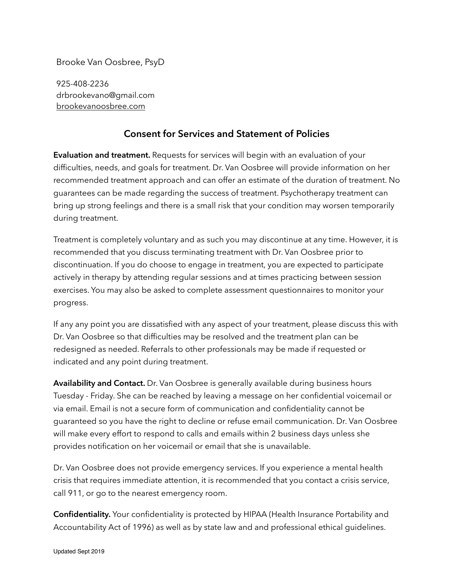Brooke Van Oosbree, PsyD

925-408-2236 drbrookevano@gmail.com [brookevanoosbree.com](http://brookevanoosbree.com)

## **Consent for Services and Statement of Policies**

**Evaluation and treatment.** Requests for services will begin with an evaluation of your difficulties, needs, and goals for treatment. Dr. Van Oosbree will provide information on her recommended treatment approach and can offer an estimate of the duration of treatment. No guarantees can be made regarding the success of treatment. Psychotherapy treatment can bring up strong feelings and there is a small risk that your condition may worsen temporarily during treatment.

Treatment is completely voluntary and as such you may discontinue at any time. However, it is recommended that you discuss terminating treatment with Dr. Van Oosbree prior to discontinuation. If you do choose to engage in treatment, you are expected to participate actively in therapy by attending regular sessions and at times practicing between session exercises. You may also be asked to complete assessment questionnaires to monitor your progress.

If any any point you are dissatisfied with any aspect of your treatment, please discuss this with Dr. Van Oosbree so that difficulties may be resolved and the treatment plan can be redesigned as needed. Referrals to other professionals may be made if requested or indicated and any point during treatment.

**Availability and Contact.** Dr. Van Oosbree is generally available during business hours Tuesday - Friday. She can be reached by leaving a message on her confidential voicemail or via email. Email is not a secure form of communication and confidentiality cannot be guaranteed so you have the right to decline or refuse email communication. Dr. Van Oosbree will make every effort to respond to calls and emails within 2 business days unless she provides notification on her voicemail or email that she is unavailable.

Dr. Van Oosbree does not provide emergency services. If you experience a mental health crisis that requires immediate attention, it is recommended that you contact a crisis service, call 911, or go to the nearest emergency room.

**Confidentiality.** Your confidentiality is protected by HIPAA (Health Insurance Portability and Accountability Act of 1996) as well as by state law and and professional ethical guidelines.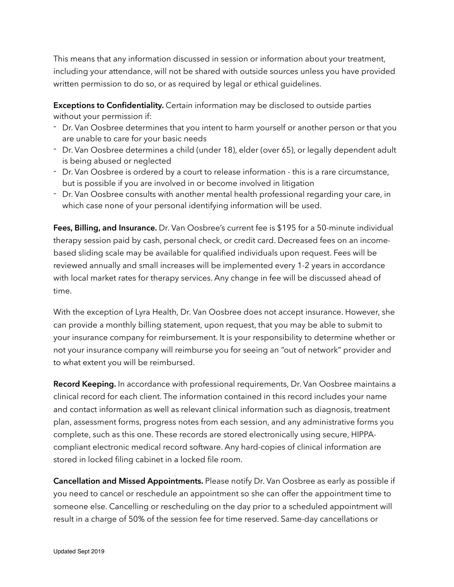This means that any information discussed in session or information about your treatment, including your attendance, will not be shared with outside sources unless you have provided written permission to do so, or as required by legal or ethical guidelines.

**Exceptions to Confidentiality.** Certain information may be disclosed to outside parties without your permission if:

- Dr. Van Oosbree determines that you intent to harm yourself or another person or that you are unable to care for your basic needs
- Dr. Van Oosbree determines a child (under 18), elder (over 65), or legally dependent adult is being abused or neglected
- Dr. Van Oosbree is ordered by a court to release information this is a rare circumstance, but is possible if you are involved in or become involved in litigation
- Dr. Van Oosbree consults with another mental health professional regarding your care, in which case none of your personal identifying information will be used.

**Fees, Billing, and Insurance.** Dr. Van Oosbree's current fee is \$195 for a 50-minute individual therapy session paid by cash, personal check, or credit card. Decreased fees on an incomebased sliding scale may be available for qualified individuals upon request. Fees will be reviewed annually and small increases will be implemented every 1-2 years in accordance with local market rates for therapy services. Any change in fee will be discussed ahead of time.

With the exception of Lyra Health, Dr. Van Oosbree does not accept insurance. However, she can provide a monthly billing statement, upon request, that you may be able to submit to your insurance company for reimbursement. It is your responsibility to determine whether or not your insurance company will reimburse you for seeing an "out of network" provider and to what extent you will be reimbursed.

**Record Keeping.** In accordance with professional requirements, Dr. Van Oosbree maintains a clinical record for each client. The information contained in this record includes your name and contact information as well as relevant clinical information such as diagnosis, treatment plan, assessment forms, progress notes from each session, and any administrative forms you complete, such as this one. These records are stored electronically using secure, HIPPAcompliant electronic medical record software. Any hard-copies of clinical information are stored in locked filing cabinet in a locked file room.

**Cancellation and Missed Appointments.** Please notify Dr. Van Oosbree as early as possible if you need to cancel or reschedule an appointment so she can offer the appointment time to someone else. Cancelling or rescheduling on the day prior to a scheduled appointment will result in a charge of 50% of the session fee for time reserved. Same-day cancellations or